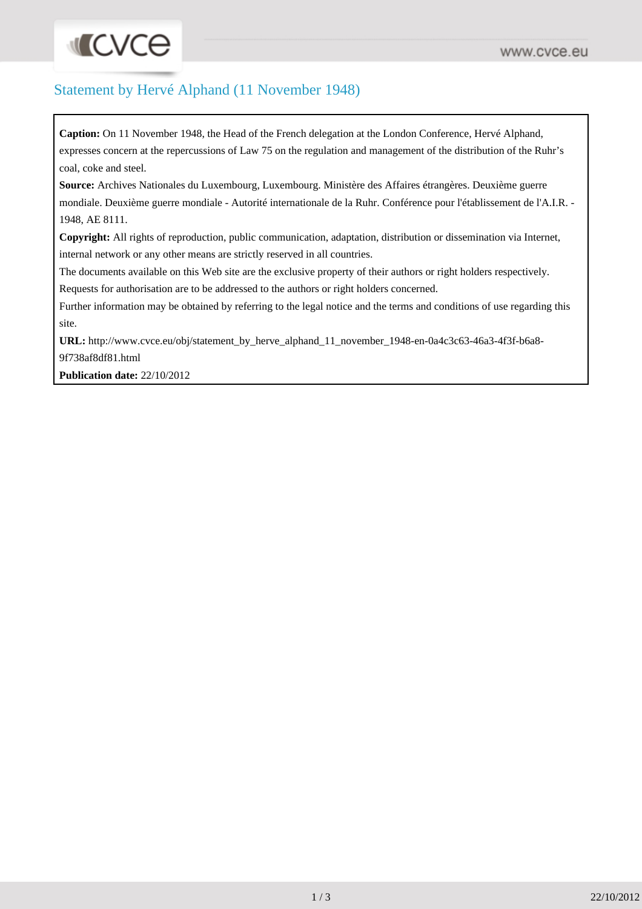## **INCACE**

## Statement by Hervé Alphand (11 November 1948)

**Caption:** On 11 November 1948, the Head of the French delegation at the London Conference, Hervé Alphand, expresses concern at the repercussions of Law 75 on the regulation and management of the distribution of the Ruhr's coal, coke and steel.

**Source:** Archives Nationales du Luxembourg, Luxembourg. Ministère des Affaires étrangères. Deuxième guerre mondiale. Deuxième guerre mondiale - Autorité internationale de la Ruhr. Conférence pour l'établissement de l'A.I.R. - 1948, AE 8111.

**Copyright:** All rights of reproduction, public communication, adaptation, distribution or dissemination via Internet, internal network or any other means are strictly reserved in all countries.

The documents available on this Web site are the exclusive property of their authors or right holders respectively. Requests for authorisation are to be addressed to the authors or right holders concerned.

Further information may be obtained by referring to the legal notice and the terms and conditions of use regarding this site.

URL: [http://www.cvce.eu/obj/statement\\_by\\_herve\\_alphand\\_11\\_november\\_1948-en-0a4c3c63-46a3-4f3f-b6a8-](http://www.cvce.eu/obj/statement_by_herve_alphand_11_november_1948-en-0a4c3c63-46a3-4f3f-b6a8-9f738af8df81.html) [9f738af8df81.html](http://www.cvce.eu/obj/statement_by_herve_alphand_11_november_1948-en-0a4c3c63-46a3-4f3f-b6a8-9f738af8df81.html)

**Publication date:** 22/10/2012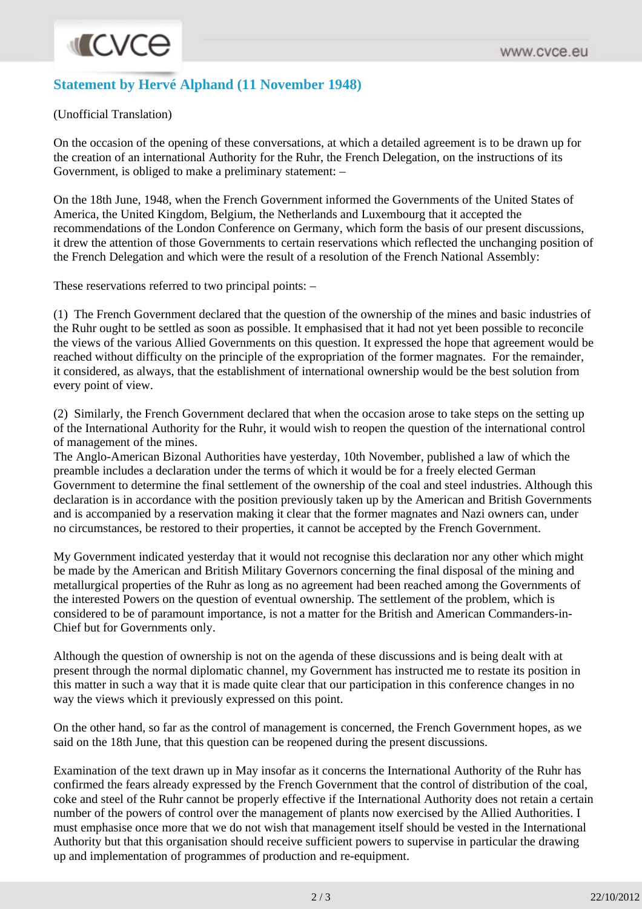## **Statement by Hervé Alphand (11 November 1948)**

(Unofficial Translation)

On the occasion of the opening of these conversations, at which a detailed agreement is to be drawn up for the creation of an international Authority for the Ruhr, the French Delegation, on the instructions of its Government, is obliged to make a preliminary statement: –

On the 18th June, 1948, when the French Government informed the Governments of the United States of America, the United Kingdom, Belgium, the Netherlands and Luxembourg that it accepted the recommendations of the London Conference on Germany, which form the basis of our present discussions, it drew the attention of those Governments to certain reservations which reflected the unchanging position of the French Delegation and which were the result of a resolution of the French National Assembly:

These reservations referred to two principal points: –

(1) The French Government declared that the question of the ownership of the mines and basic industries of the Ruhr ought to be settled as soon as possible. It emphasised that it had not yet been possible to reconcile the views of the various Allied Governments on this question. It expressed the hope that agreement would be reached without difficulty on the principle of the expropriation of the former magnates. For the remainder, it considered, as always, that the establishment of international ownership would be the best solution from every point of view.

(2) Similarly, the French Government declared that when the occasion arose to take steps on the setting up of the International Authority for the Ruhr, it would wish to reopen the question of the international control of management of the mines.

The Anglo-American Bizonal Authorities have yesterday, 10th November, published a law of which the preamble includes a declaration under the terms of which it would be for a freely elected German Government to determine the final settlement of the ownership of the coal and steel industries. Although this declaration is in accordance with the position previously taken up by the American and British Governments and is accompanied by a reservation making it clear that the former magnates and Nazi owners can, under no circumstances, be restored to their properties, it cannot be accepted by the French Government.

My Government indicated yesterday that it would not recognise this declaration nor any other which might be made by the American and British Military Governors concerning the final disposal of the mining and metallurgical properties of the Ruhr as long as no agreement had been reached among the Governments of the interested Powers on the question of eventual ownership. The settlement of the problem, which is considered to be of paramount importance, is not a matter for the British and American Commanders-in-Chief but for Governments only.

Although the question of ownership is not on the agenda of these discussions and is being dealt with at present through the normal diplomatic channel, my Government has instructed me to restate its position in this matter in such a way that it is made quite clear that our participation in this conference changes in no way the views which it previously expressed on this point.

On the other hand, so far as the control of management is concerned, the French Government hopes, as we said on the 18th June, that this question can be reopened during the present discussions.

Examination of the text drawn up in May insofar as it concerns the International Authority of the Ruhr has confirmed the fears already expressed by the French Government that the control of distribution of the coal, coke and steel of the Ruhr cannot be properly effective if the International Authority does not retain a certain number of the powers of control over the management of plants now exercised by the Allied Authorities. I must emphasise once more that we do not wish that management itself should be vested in the International Authority but that this organisation should receive sufficient powers to supervise in particular the drawing up and implementation of programmes of production and re-equipment.